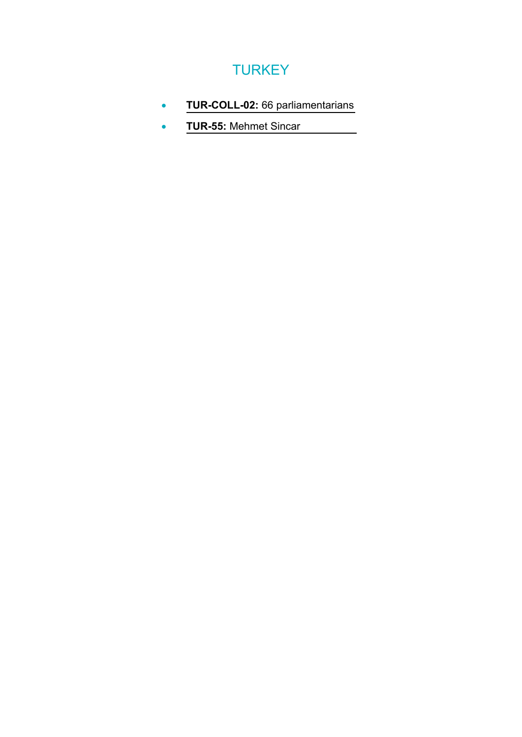## **TURKEY**

- **TUR-COLL-02:** [66 parliamentarians](#page-1-0)
- **TUR-55:** [Mehmet Sincar](#page-6-0)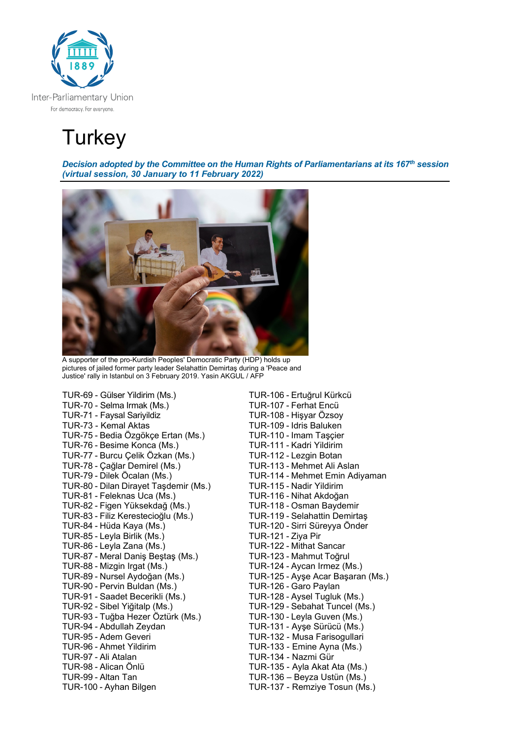<span id="page-1-0"></span>

# **Turkey**

*Decision adopted by the Committee on the Human Rights of Parliamentarians at its 167th session (virtual session, 30 January to 11 February 2022)* 



A supporter of the pro-Kurdish Peoples' Democratic Party (HDP) holds up pictures of jailed former party leader Selahattin Demirtaş during a 'Peace and Justice' rally in Istanbul on 3 February 2019. Yasin AKGUL / AFP

TUR-69 - Gülser Yildirim (Ms.) TUR-106 - Ertuğrul Kürkcü TUR-70 - Selma Irmak (Ms.) TUR-107 - Ferhat Encü TUR-71 - Faysal Sariyildiz TUR-108 - Hişyar Özsoy TUR-75 - Bedia Özgökçe Ertan (Ms.) TUR-110 - Imam Taşçier TUR-76 - Besime Konca (Ms.)<br>TUR-111 - Kadri Yildirim<br>TUR-77 - Burcu Çelik Özkan (Ms.)<br>TUR-112 - Lezgin Botan TUR-77 - Burcu Çelik Özkan (Ms.) TUR-112 - Lezgin Botan TUR-78 - Çağlar Demirel (Ms.)<br>TUR-79 - Dilek Öcalan (Ms.) TUR-80 - Dilan Dirayet Taşdemir (Ms.) TUR-81 - Feleknas Uca (Ms.) TUR-116 - Nihat Akdoğan TUR-82 - Figen Yüksekdağ (Ms.) TUR-118 - Osman Baydemir TUR-83 - Filiz Kerestecioğlu (Ms.)<br>TUR-84 - Hüda Kaya (Ms.) TUR-85 - Leyla Birlik (Ms.) TUR-121 - Ziya Pir TUR-87 - Meral Daniş Beştaş (Ms.) TUR-123 - Mahmut Toğrul TUR-88 - Mizgin Irgat (Ms.) TUR-124 - Aycan Irmez (Ms.) TUR-89 - Nursel Aydoğan (Ms.) TUR-125 - Ayşe Acar Başaran (Ms.) TUR-90 - Pervin Buldan (Ms.) TUR-126 - Garo Paylan TUR-91 - Saadet Becerikli (Ms.) TUR-128 - Aysel Tugluk (Ms.) TUR-93 - Tuğba Hezer Öztürk (Ms.)<br>TUR-94 - Abdullah Zeydan TUR-95 - Adem Geveri TUR-132 - Musa Farisogullari TUR-96 - Ahmet Yildirim TUR-133 - Emine Ayna (Ms.) TUR-97 - Ali Atalan TUR-134 - Nazmi Gür TUR-98 - Alican Önlü TUR-135 - Ayla Akat Ata (Ms.) TUR-100 - Ayhan Bilgen TUR-137 - Remziye Tosun (Ms.)

TUR-109 - Idris Baluken<br>TUR-110 - Imam Taşçier TUR-114 - Mehmet Emin Adiyaman<br>TUR-115 - Nadir Yildirim TUR-120 - Sirri Süreyya Önder TUR-122 - Mithat Sancar TUR-129 - Sebahat Tuncel (Ms.)<br>TUR-130 - Leyla Guven (Ms.) TUR-131 - Ayşe Sürücü (Ms.) TUR-136 – Beyza Ustün (Ms.)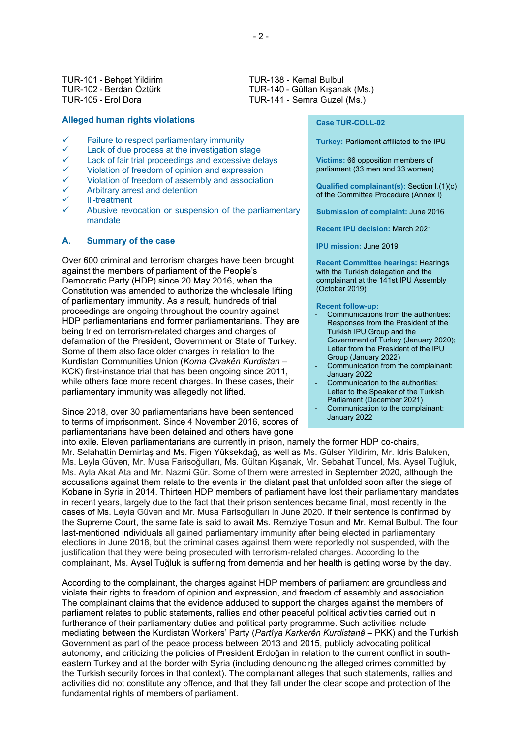TUR-101 - Behçet Yildirim TUR-138 - Kemal Bulbul<br>TUR-102 - Berdan Öztürk TUR-140 - Gültan Kışana

#### **Alleged human rights violations**

- Failure to respect parliamentary immunity
- Lack of due process at the investigation stage
- Lack of fair trial proceedings and excessive delays
- Violation of freedom of opinion and expression
- Violation of freedom of assembly and association
- Arbitrary arrest and detention
- Ill-treatment
- Abusive revocation or suspension of the parliamentary mandate

#### **A. Summary of the case**

Over 600 criminal and terrorism charges have been brought against the members of parliament of the People's Democratic Party (HDP) since 20 May 2016, when the Constitution was amended to authorize the wholesale lifting of parliamentary immunity. As a result, hundreds of trial proceedings are ongoing throughout the country against HDP parliamentarians and former parliamentarians. They are being tried on terrorism-related charges and charges of defamation of the President, Government or State of Turkey. Some of them also face older charges in relation to the Kurdistan Communities Union (*Koma Civakên Kurdistan* – KCK) first-instance trial that has been ongoing since 2011, while others face more recent charges. In these cases, their parliamentary immunity was allegedly not lifted.

Since 2018, over 30 parliamentarians have been sentenced to terms of imprisonment. Since 4 November 2016, scores of parliamentarians have been detained and others have gone

TUR-102 - Berdan Öztürk TUR-140 - Gültan Kışanak (Ms.)<br>TUR-105 - Erol Dora TUR-141 - Semra Guzel (Ms.) TUR-141 - Semra Guzel (Ms.)

#### **Case TUR-COLL-02**

**Turkey:** Parliament affiliated to the IPU

**Victims:** 66 opposition members of parliament (33 men and 33 women)

**Qualified complainant(s):** Section I.(1)(c) of the Committee Procedure (Annex I)

**Submission of complaint:** June 2016

**Recent IPU decision:** March 2021

**IPU mission:** June 2019

**Recent Committee hearings:** Hearings with the Turkish delegation and the complainant at the 141st IPU Assembly (October 2019)

**Recent follow-up:**

- Communications from the authorities: Responses from the President of the Turkish IPU Group and the Government of Turkey (January 2020); Letter from the President of the IPU Group (January 2022)
- Communication from the complainant: January 2022
- Communication to the authorities: Letter to the Speaker of the Turkish Parliament (December 2021)
- Communication to the complainant: January 2022

into exile. Eleven parliamentarians are currently in prison, namely the former HDP co-chairs, Mr. Selahattin Demirtaş and Ms. Figen Yüksekdağ, as well as Ms. Gülser Yildirim, Mr. Idris Baluken, Ms. Leyla Güven, Mr. Musa Farisoğulları, Ms. Gültan Kışanak, Mr. Sebahat Tuncel, Ms. Aysel Tuğluk, Ms. Ayla Akat Ata and Mr. Nazmi Gür. Some of them were arrested in September 2020, although the accusations against them relate to the events in the distant past that unfolded soon after the siege of Kobane in Syria in 2014. Thirteen HDP members of parliament have lost their parliamentary mandates in recent years, largely due to the fact that their prison sentences became final, most recently in the cases of Ms. Leyla Güven and Mr. Musa Farisoğulları in June 2020. If their sentence is confirmed by the Supreme Court, the same fate is said to await Ms. Remziye Tosun and Mr. Kemal Bulbul. The four last-mentioned individuals all gained parliamentary immunity after being elected in parliamentary elections in June 2018, but the criminal cases against them were reportedly not suspended, with the justification that they were being prosecuted with terrorism-related charges. According to the complainant, Ms. Aysel Tuğluk is suffering from dementia and her health is getting worse by the day.

According to the complainant, the charges against HDP members of parliament are groundless and violate their rights to freedom of opinion and expression, and freedom of assembly and association. The complainant claims that the evidence adduced to support the charges against the members of parliament relates to public statements, rallies and other peaceful political activities carried out in furtherance of their parliamentary duties and political party programme. Such activities include mediating between the Kurdistan Workers' Party (*Partîya Karkerên Kurdistanê* – PKK) and the Turkish Government as part of the peace process between 2013 and 2015, publicly advocating political autonomy, and criticizing the policies of President Erdoğan in relation to the current conflict in southeastern Turkey and at the border with Syria (including denouncing the alleged crimes committed by the Turkish security forces in that context). The complainant alleges that such statements, rallies and activities did not constitute any offence, and that they fall under the clear scope and protection of the fundamental rights of members of parliament.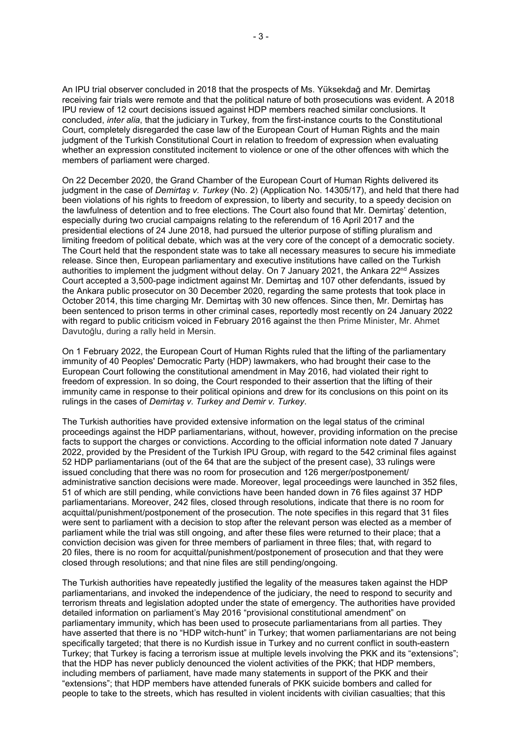An IPU trial observer concluded in 2018 that the prospects of Ms. Yüksekdağ and Mr. Demirtaş receiving fair trials were remote and that the political nature of both prosecutions was evident. A 2018 IPU review of 12 court decisions issued against HDP members reached similar conclusions. It concluded, *inter alia*, that the judiciary in Turkey, from the first-instance courts to the Constitutional Court, completely disregarded the case law of the European Court of Human Rights and the main judgment of the Turkish Constitutional Court in relation to freedom of expression when evaluating whether an expression constituted incitement to violence or one of the other offences with which the members of parliament were charged.

On 22 December 2020, the Grand Chamber of the European Court of Human Rights delivered its judgment in the case of *Demirtaş v. Turkey* (No. 2) (Application No. 14305/17), and held that there had been violations of his rights to freedom of expression, to liberty and security, to a speedy decision on the lawfulness of detention and to free elections. The Court also found that Mr. Demirtaş' detention, especially during two crucial campaigns relating to the referendum of 16 April 2017 and the presidential elections of 24 June 2018, had pursued the ulterior purpose of stifling pluralism and limiting freedom of political debate, which was at the very core of the concept of a democratic society. The Court held that the respondent state was to take all necessary measures to secure his immediate release. Since then, European parliamentary and executive institutions have called on the Turkish authorities to implement the judgment without delay. On 7 January 2021, the Ankara 22<sup>nd</sup> Assizes Court accepted a 3,500-page indictment against Mr. Demirtaş and 107 other defendants, issued by the Ankara public prosecutor on 30 December 2020, regarding the same protests that took place in October 2014, this time charging Mr. Demirtaş with 30 new offences. Since then, Mr. Demirtaş has been sentenced to prison terms in other criminal cases, reportedly most recently on 24 January 2022 with regard to public criticism voiced in February 2016 against the then Prime Minister, Mr. Ahmet Davutoğlu, during a rally held in Mersin.

On 1 February 2022, the European Court of Human Rights ruled that the lifting of the parliamentary immunity of 40 Peoples' Democratic Party (HDP) lawmakers, who had brought their case to the European Court following the constitutional amendment in May 2016, had violated their right to freedom of expression. In so doing, the Court responded to their assertion that the lifting of their immunity came in response to their political opinions and drew for its conclusions on this point on its rulings in the cases of *Demirtaş v. Turkey and Demir v. Turkey*.

The Turkish authorities have provided extensive information on the legal status of the criminal proceedings against the HDP parliamentarians, without, however, providing information on the precise facts to support the charges or convictions. According to the official information note dated 7 January 2022, provided by the President of the Turkish IPU Group, with regard to the 542 criminal files against 52 HDP parliamentarians (out of the 64 that are the subject of the present case), 33 rulings were issued concluding that there was no room for prosecution and 126 merger/postponement/ administrative sanction decisions were made. Moreover, legal proceedings were launched in 352 files, 51 of which are still pending, while convictions have been handed down in 76 files against 37 HDP parliamentarians. Moreover, 242 files, closed through resolutions, indicate that there is no room for acquittal/punishment/postponement of the prosecution. The note specifies in this regard that 31 files were sent to parliament with a decision to stop after the relevant person was elected as a member of parliament while the trial was still ongoing, and after these files were returned to their place; that a conviction decision was given for three members of parliament in three files; that, with regard to 20 files, there is no room for acquittal/punishment/postponement of prosecution and that they were closed through resolutions; and that nine files are still pending/ongoing.

The Turkish authorities have repeatedly justified the legality of the measures taken against the HDP parliamentarians, and invoked the independence of the judiciary, the need to respond to security and terrorism threats and legislation adopted under the state of emergency. The authorities have provided detailed information on parliament's May 2016 "provisional constitutional amendment" on parliamentary immunity, which has been used to prosecute parliamentarians from all parties. They have asserted that there is no "HDP witch-hunt" in Turkey; that women parliamentarians are not being specifically targeted; that there is no Kurdish issue in Turkey and no current conflict in south-eastern Turkey; that Turkey is facing a terrorism issue at multiple levels involving the PKK and its "extensions"; that the HDP has never publicly denounced the violent activities of the PKK; that HDP members, including members of parliament, have made many statements in support of the PKK and their "extensions"; that HDP members have attended funerals of PKK suicide bombers and called for people to take to the streets, which has resulted in violent incidents with civilian casualties; that this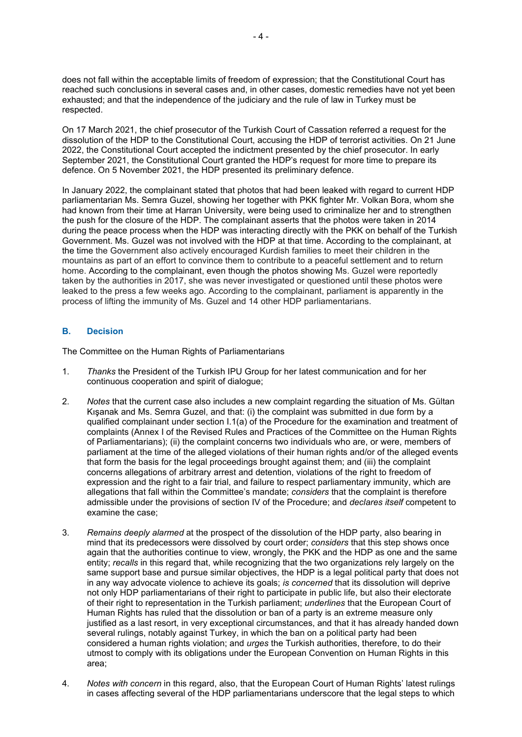does not fall within the acceptable limits of freedom of expression; that the Constitutional Court has reached such conclusions in several cases and, in other cases, domestic remedies have not yet been exhausted; and that the independence of the judiciary and the rule of law in Turkey must be respected.

On 17 March 2021, the chief prosecutor of the Turkish Court of Cassation referred a request for the dissolution of the HDP to the Constitutional Court, accusing the HDP of terrorist activities. On 21 June 2022, the Constitutional Court accepted the indictment presented by the chief prosecutor. In early September 2021, the Constitutional Court granted the HDP's request for more time to prepare its defence. On 5 November 2021, the HDP presented its preliminary defence.

In January 2022, the complainant stated that photos that had been leaked with regard to current HDP parliamentarian Ms. Semra Guzel, showing her together with PKK fighter Mr. Volkan Bora, whom she had known from their time at Harran University, were being used to criminalize her and to strengthen the push for the closure of the HDP. The complainant asserts that the photos were taken in 2014 during the peace process when the HDP was interacting directly with the PKK on behalf of the Turkish Government. Ms. Guzel was not involved with the HDP at that time. According to the complainant, at the time the Government also actively encouraged Kurdish families to meet their children in the mountains as part of an effort to convince them to contribute to a peaceful settlement and to return home. According to the complainant, even though the photos showing Ms. Guzel were reportedly taken by the authorities in 2017, she was never investigated or questioned until these photos were leaked to the press a few weeks ago. According to the complainant, parliament is apparently in the process of lifting the immunity of Ms. Guzel and 14 other HDP parliamentarians.

#### **B. Decision**

The Committee on the Human Rights of Parliamentarians

- 1. *Thanks* the President of the Turkish IPU Group for her latest communication and for her continuous cooperation and spirit of dialogue;
- 2. *Notes* that the current case also includes a new complaint regarding the situation of Ms. Gültan Kışanak and Ms. Semra Guzel, and that: (i) the complaint was submitted in due form by a qualified complainant under section I.1(a) of the Procedure for the examination and treatment of complaints (Annex I of the Revised Rules and Practices of the Committee on the Human Rights of Parliamentarians); (ii) the complaint concerns two individuals who are, or were, members of parliament at the time of the alleged violations of their human rights and/or of the alleged events that form the basis for the legal proceedings brought against them; and (iii) the complaint concerns allegations of arbitrary arrest and detention, violations of the right to freedom of expression and the right to a fair trial, and failure to respect parliamentary immunity, which are allegations that fall within the Committee's mandate; *considers* that the complaint is therefore admissible under the provisions of section IV of the Procedure; and *declares itself* competent to examine the case;
- 3. *Remains deeply alarmed* at the prospect of the dissolution of the HDP party, also bearing in mind that its predecessors were dissolved by court order; *considers* that this step shows once again that the authorities continue to view, wrongly, the PKK and the HDP as one and the same entity; *recalls* in this regard that, while recognizing that the two organizations rely largely on the same support base and pursue similar objectives, the HDP is a legal political party that does not in any way advocate violence to achieve its goals; *is concerned* that its dissolution will deprive not only HDP parliamentarians of their right to participate in public life, but also their electorate of their right to representation in the Turkish parliament; *underlines* that the European Court of Human Rights has ruled that the dissolution or ban of a party is an extreme measure only justified as a last resort, in very exceptional circumstances, and that it has already handed down several rulings, notably against Turkey, in which the ban on a political party had been considered a human rights violation; and *urges* the Turkish authorities, therefore, to do their utmost to comply with its obligations under the European Convention on Human Rights in this area;
- 4. *Notes with concern* in this regard, also, that the European Court of Human Rights' latest rulings in cases affecting several of the HDP parliamentarians underscore that the legal steps to which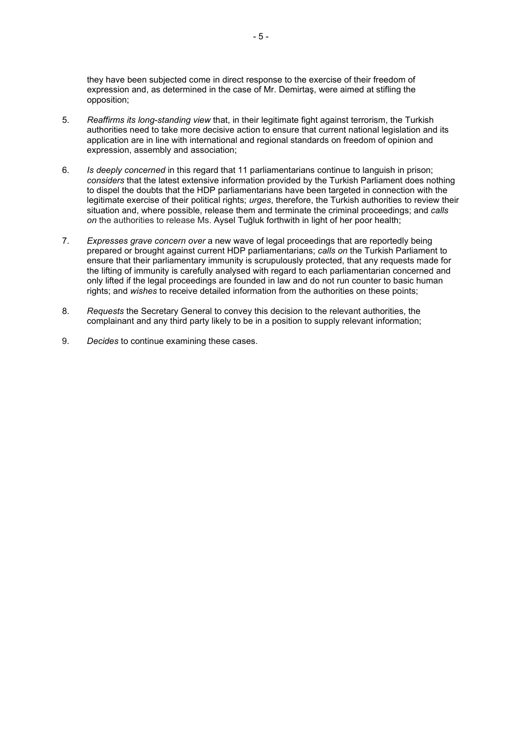they have been subjected come in direct response to the exercise of their freedom of expression and, as determined in the case of Mr. Demirtaş, were aimed at stifling the opposition;

- 5. *Reaffirms its long-standing view* that, in their legitimate fight against terrorism, the Turkish authorities need to take more decisive action to ensure that current national legislation and its application are in line with international and regional standards on freedom of opinion and expression, assembly and association;
- 6. *Is deeply concerned* in this regard that 11 parliamentarians continue to languish in prison; *considers* that the latest extensive information provided by the Turkish Parliament does nothing to dispel the doubts that the HDP parliamentarians have been targeted in connection with the legitimate exercise of their political rights; *urges*, therefore, the Turkish authorities to review their situation and, where possible, release them and terminate the criminal proceedings; and *calls on* the authorities to release Ms. Aysel Tuğluk forthwith in light of her poor health;
- 7. *Expresses grave concern over* a new wave of legal proceedings that are reportedly being prepared or brought against current HDP parliamentarians; *calls on* the Turkish Parliament to ensure that their parliamentary immunity is scrupulously protected, that any requests made for the lifting of immunity is carefully analysed with regard to each parliamentarian concerned and only lifted if the legal proceedings are founded in law and do not run counter to basic human rights; and *wishes* to receive detailed information from the authorities on these points;
- 8. *Requests* the Secretary General to convey this decision to the relevant authorities, the complainant and any third party likely to be in a position to supply relevant information;
- 9. *Decides* to continue examining these cases.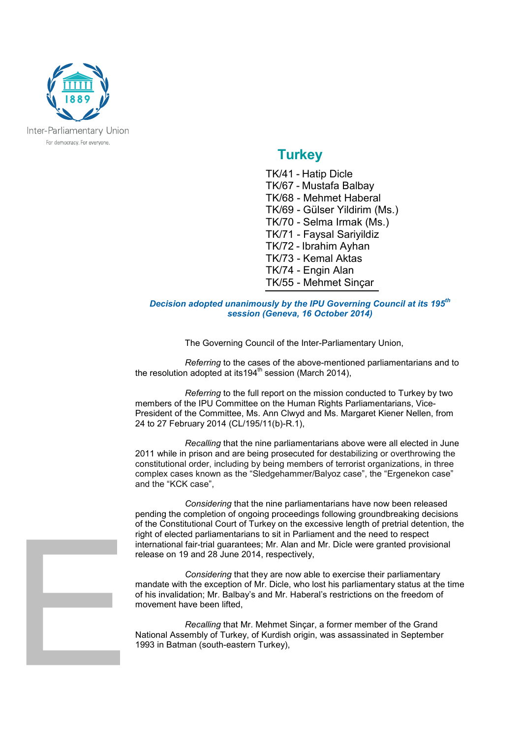<span id="page-6-0"></span>

### **Turkey**

TK/41 - Hatip Dicle TK/67 - Mustafa Balbay TK/68 - Mehmet Haberal TK/69 - Gülser Yildirim (Ms.) TK/70 - Selma Irmak (Ms.) TK/71 - Faysal Sariyildiz TK/72 - Ibrahim Ayhan TK/73 - Kemal Aktas TK/74 - Engin Alan TK/55 - Mehmet Sinçar

#### *Decision adopted unanimously by the IPU Governing Council at its 195th session (Geneva, 16 October 2014)*

The Governing Council of the Inter-Parliamentary Union,

*Referring* to the cases of the above-mentioned parliamentarians and to the resolution adopted at its194<sup>th</sup> session (March 2014),

*Referring* to the full report on the mission conducted to Turkey by two members of the IPU Committee on the Human Rights Parliamentarians, Vice-President of the Committee, Ms. Ann Clwyd and Ms. Margaret Kiener Nellen, from 24 to 27 February 2014 (CL/195/11(b)-R.1),

*Recalling* that the nine parliamentarians above were all elected in June 2011 while in prison and are being prosecuted for destabilizing or overthrowing the constitutional order, including by being members of terrorist organizations, in three complex cases known as the "Sledgehammer/Balyoz case", the "Ergenekon case" and the "KCK case",

*Considering* that the nine parliamentarians have now been released pending the completion of ongoing proceedings following groundbreaking decisions of the Constitutional Court of Turkey on the excessive length of pretrial detention, the right of elected parliamentarians to sit in Parliament and the need to respect international fair-trial guarantees; Mr. Alan and Mr. Dicle were granted provisional release on 19 and 28 June 2014, respectively,

*Considering* that they are now able to exercise their parliamentary mandate with the exception of Mr. Dicle, who lost his parliamentary status at the time of his invalidation; Mr. Balbay's and Mr. Haberal's restrictions on the freedom of movement have been lifted,

*Recalling* that Mr. Mehmet Sinçar, a former member of the Grand National Assembly of Turkey, of Kurdish origin, was assassinated in September 1993 in Batman (south-eastern Turkey),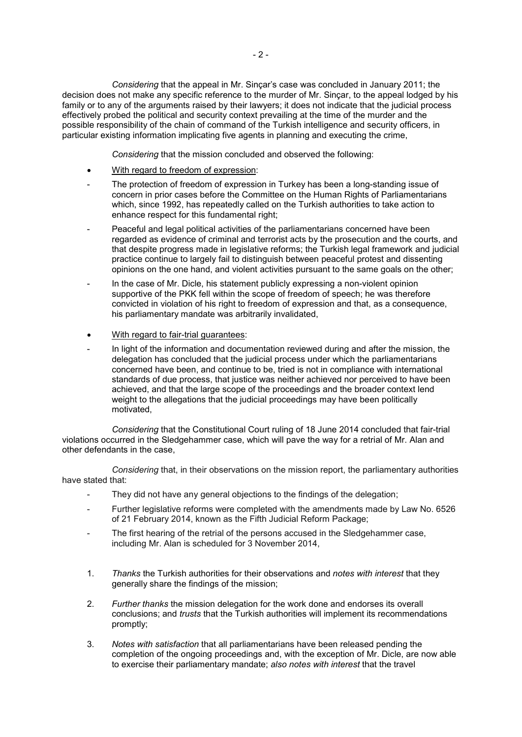*Considering* that the appeal in Mr. Sinçar's case was concluded in January 2011; the decision does not make any specific reference to the murder of Mr. Sinçar, to the appeal lodged by his family or to any of the arguments raised by their lawyers; it does not indicate that the judicial process effectively probed the political and security context prevailing at the time of the murder and the possible responsibility of the chain of command of the Turkish intelligence and security officers, in particular existing information implicating five agents in planning and executing the crime,

*Considering* that the mission concluded and observed the following:

- With regard to freedom of expression:
- The protection of freedom of expression in Turkey has been a long-standing issue of concern in prior cases before the Committee on the Human Rights of Parliamentarians which, since 1992, has repeatedly called on the Turkish authorities to take action to enhance respect for this fundamental right;
- Peaceful and legal political activities of the parliamentarians concerned have been regarded as evidence of criminal and terrorist acts by the prosecution and the courts, and that despite progress made in legislative reforms; the Turkish legal framework and judicial practice continue to largely fail to distinguish between peaceful protest and dissenting opinions on the one hand, and violent activities pursuant to the same goals on the other;
- In the case of Mr. Dicle, his statement publicly expressing a non-violent opinion supportive of the PKK fell within the scope of freedom of speech; he was therefore convicted in violation of his right to freedom of expression and that, as a consequence, his parliamentary mandate was arbitrarily invalidated,
- With regard to fair-trial guarantees:
- In light of the information and documentation reviewed during and after the mission, the delegation has concluded that the judicial process under which the parliamentarians concerned have been, and continue to be, tried is not in compliance with international standards of due process, that justice was neither achieved nor perceived to have been achieved, and that the large scope of the proceedings and the broader context lend weight to the allegations that the judicial proceedings may have been politically motivated,

*Considering* that the Constitutional Court ruling of 18 June 2014 concluded that fair-trial violations occurred in the Sledgehammer case, which will pave the way for a retrial of Mr. Alan and other defendants in the case,

*Considering* that, in their observations on the mission report, the parliamentary authorities have stated that:

- They did not have any general objections to the findings of the delegation;
- Further legislative reforms were completed with the amendments made by Law No. 6526 of 21 February 2014, known as the Fifth Judicial Reform Package;
- The first hearing of the retrial of the persons accused in the Sledgehammer case. including Mr. Alan is scheduled for 3 November 2014,
- 1. *Thanks* the Turkish authorities for their observations and *notes with interest* that they generally share the findings of the mission;
- 2. *Further thanks* the mission delegation for the work done and endorses its overall conclusions; and *trusts* that the Turkish authorities will implement its recommendations promptly;
- 3. *Notes with satisfaction* that all parliamentarians have been released pending the completion of the ongoing proceedings and, with the exception of Mr. Dicle, are now able to exercise their parliamentary mandate; *also notes with interest* that the travel